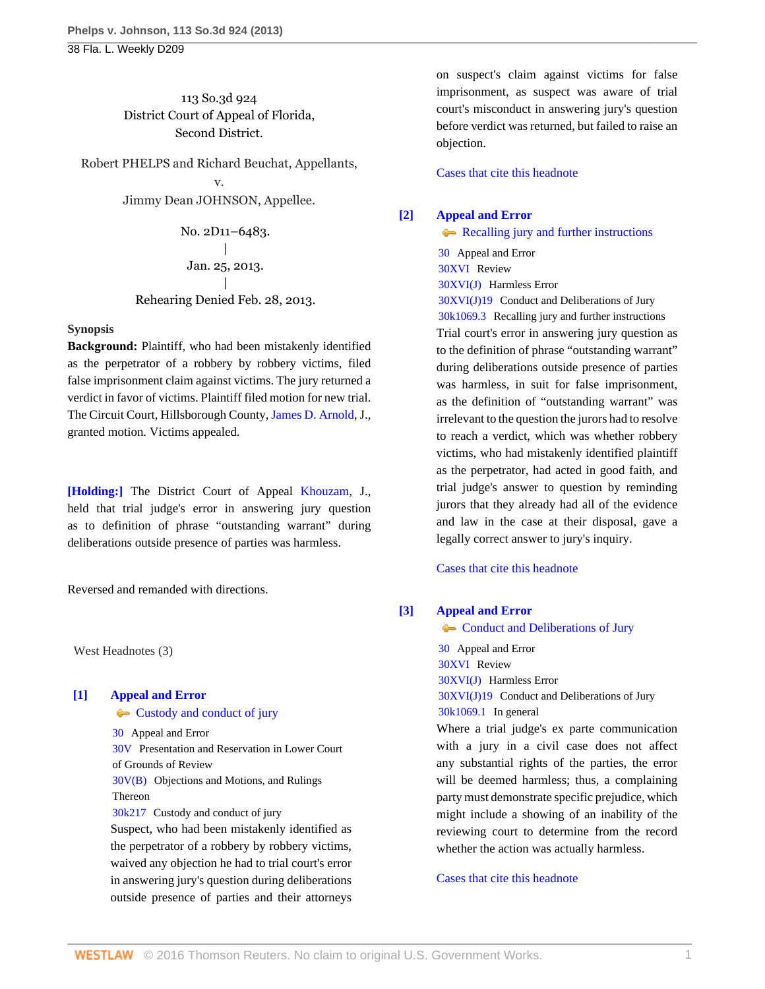38 Fla. L. Weekly D209

## 113 So.3d 924 District Court of Appeal of Florida, Second District.

Robert PHELPS and Richard Beuchat, Appellants, v. Jimmy Dean JOHNSON, Appellee.

> No. 2D11–6483.  $\overline{\phantom{a}}$ Jan. 25, 2013. | Rehearing Denied Feb. 28, 2013.

## **Synopsis**

**Background:** Plaintiff, who had been mistakenly identified as the perpetrator of a robbery by robbery victims, filed false imprisonment claim against victims. The jury returned a verdict in favor of victims. Plaintiff filed motion for new trial. The Circuit Court, Hillsborough County, [James D. Arnold,](http://www.westlaw.com/Link/Document/FullText?findType=h&pubNum=176284&cite=0354798801&originatingDoc=I164bdfa066d311e280719c3f0e80bdd0&refType=RQ&originationContext=document&vr=3.0&rs=cblt1.0&transitionType=DocumentItem&contextData=(sc.Default)) J., granted motion. Victims appealed.

**[\[Holding:\]](#page-0-0)** The District Court of Appeal [Khouzam,](http://www.westlaw.com/Link/Document/FullText?findType=h&pubNum=176284&cite=0142088901&originatingDoc=I164bdfa066d311e280719c3f0e80bdd0&refType=RQ&originationContext=document&vr=3.0&rs=cblt1.0&transitionType=DocumentItem&contextData=(sc.Default)) J., held that trial judge's error in answering jury question as to definition of phrase "outstanding warrant" during deliberations outside presence of parties was harmless.

Reversed and remanded with directions.

West Headnotes (3)

# <span id="page-0-1"></span>**[\[1\]](#page-2-0) [Appeal and Error](http://www.westlaw.com/Browse/Home/KeyNumber/30/View.html?docGuid=I164bdfa066d311e280719c3f0e80bdd0&originationContext=document&vr=3.0&rs=cblt1.0&transitionType=DocumentItem&contextData=(sc.Default))**

**[Custody and conduct of jury](http://www.westlaw.com/Browse/Home/KeyNumber/30k217/View.html?docGuid=I164bdfa066d311e280719c3f0e80bdd0&originationContext=document&vr=3.0&rs=cblt1.0&transitionType=DocumentItem&contextData=(sc.Default))** 

[30](http://www.westlaw.com/Browse/Home/KeyNumber/30/View.html?docGuid=I164bdfa066d311e280719c3f0e80bdd0&originationContext=document&vr=3.0&rs=cblt1.0&transitionType=DocumentItem&contextData=(sc.Default)) Appeal and Error [30V](http://www.westlaw.com/Browse/Home/KeyNumber/30V/View.html?docGuid=I164bdfa066d311e280719c3f0e80bdd0&originationContext=document&vr=3.0&rs=cblt1.0&transitionType=DocumentItem&contextData=(sc.Default)) Presentation and Reservation in Lower Court of Grounds of Review [30V\(B\)](http://www.westlaw.com/Browse/Home/KeyNumber/30V(B)/View.html?docGuid=I164bdfa066d311e280719c3f0e80bdd0&originationContext=document&vr=3.0&rs=cblt1.0&transitionType=DocumentItem&contextData=(sc.Default)) Objections and Motions, and Rulings Thereon [30k217](http://www.westlaw.com/Browse/Home/KeyNumber/30k217/View.html?docGuid=I164bdfa066d311e280719c3f0e80bdd0&originationContext=document&vr=3.0&rs=cblt1.0&transitionType=DocumentItem&contextData=(sc.Default)) Custody and conduct of jury Suspect, who had been mistakenly identified as the perpetrator of a robbery by robbery victims,

waived any objection he had to trial court's error in answering jury's question during deliberations outside presence of parties and their attorneys on suspect's claim against victims for false imprisonment, as suspect was aware of trial court's misconduct in answering jury's question before verdict was returned, but failed to raise an objection.

[Cases that cite this headnote](http://www.westlaw.com/Link/RelatedInformation/DocHeadnoteLink?docGuid=I164bdfa066d311e280719c3f0e80bdd0&headnoteId=202972034800120130816072223&originationContext=document&vr=3.0&rs=cblt1.0&transitionType=CitingReferences&contextData=(sc.Default))

## <span id="page-0-0"></span>**[\[2\]](#page-2-1) [Appeal and Error](http://www.westlaw.com/Browse/Home/KeyNumber/30/View.html?docGuid=I164bdfa066d311e280719c3f0e80bdd0&originationContext=document&vr=3.0&rs=cblt1.0&transitionType=DocumentItem&contextData=(sc.Default))**

[Recalling jury and further instructions](http://www.westlaw.com/Browse/Home/KeyNumber/30k1069.3/View.html?docGuid=I164bdfa066d311e280719c3f0e80bdd0&originationContext=document&vr=3.0&rs=cblt1.0&transitionType=DocumentItem&contextData=(sc.Default)) [30](http://www.westlaw.com/Browse/Home/KeyNumber/30/View.html?docGuid=I164bdfa066d311e280719c3f0e80bdd0&originationContext=document&vr=3.0&rs=cblt1.0&transitionType=DocumentItem&contextData=(sc.Default)) Appeal and Error [30XVI](http://www.westlaw.com/Browse/Home/KeyNumber/30XVI/View.html?docGuid=I164bdfa066d311e280719c3f0e80bdd0&originationContext=document&vr=3.0&rs=cblt1.0&transitionType=DocumentItem&contextData=(sc.Default)) Review [30XVI\(J\)](http://www.westlaw.com/Browse/Home/KeyNumber/30XVI(J)/View.html?docGuid=I164bdfa066d311e280719c3f0e80bdd0&originationContext=document&vr=3.0&rs=cblt1.0&transitionType=DocumentItem&contextData=(sc.Default)) Harmless Error [30XVI\(J\)19](http://www.westlaw.com/Browse/Home/KeyNumber/30XVI(J)19/View.html?docGuid=I164bdfa066d311e280719c3f0e80bdd0&originationContext=document&vr=3.0&rs=cblt1.0&transitionType=DocumentItem&contextData=(sc.Default)) Conduct and Deliberations of Jury [30k1069.3](http://www.westlaw.com/Browse/Home/KeyNumber/30k1069.3/View.html?docGuid=I164bdfa066d311e280719c3f0e80bdd0&originationContext=document&vr=3.0&rs=cblt1.0&transitionType=DocumentItem&contextData=(sc.Default)) Recalling jury and further instructions Trial court's error in answering jury question as to the definition of phrase "outstanding warrant" during deliberations outside presence of parties was harmless, in suit for false imprisonment, as the definition of "outstanding warrant" was irrelevant to the question the jurors had to resolve to reach a verdict, which was whether robbery victims, who had mistakenly identified plaintiff as the perpetrator, had acted in good faith, and trial judge's answer to question by reminding jurors that they already had all of the evidence and law in the case at their disposal, gave a legally correct answer to jury's inquiry.

[Cases that cite this headnote](http://www.westlaw.com/Link/RelatedInformation/DocHeadnoteLink?docGuid=I164bdfa066d311e280719c3f0e80bdd0&headnoteId=202972034800220130816072223&originationContext=document&vr=3.0&rs=cblt1.0&transitionType=CitingReferences&contextData=(sc.Default))

## <span id="page-0-2"></span>**[\[3\]](#page-2-2) [Appeal and Error](http://www.westlaw.com/Browse/Home/KeyNumber/30/View.html?docGuid=I164bdfa066d311e280719c3f0e80bdd0&originationContext=document&vr=3.0&rs=cblt1.0&transitionType=DocumentItem&contextData=(sc.Default))**

**[Conduct and Deliberations of Jury](http://www.westlaw.com/Browse/Home/KeyNumber/30XVI(J)19/View.html?docGuid=I164bdfa066d311e280719c3f0e80bdd0&originationContext=document&vr=3.0&rs=cblt1.0&transitionType=DocumentItem&contextData=(sc.Default))** [30](http://www.westlaw.com/Browse/Home/KeyNumber/30/View.html?docGuid=I164bdfa066d311e280719c3f0e80bdd0&originationContext=document&vr=3.0&rs=cblt1.0&transitionType=DocumentItem&contextData=(sc.Default)) Appeal and Error [30XVI](http://www.westlaw.com/Browse/Home/KeyNumber/30XVI/View.html?docGuid=I164bdfa066d311e280719c3f0e80bdd0&originationContext=document&vr=3.0&rs=cblt1.0&transitionType=DocumentItem&contextData=(sc.Default)) Review [30XVI\(J\)](http://www.westlaw.com/Browse/Home/KeyNumber/30XVI(J)/View.html?docGuid=I164bdfa066d311e280719c3f0e80bdd0&originationContext=document&vr=3.0&rs=cblt1.0&transitionType=DocumentItem&contextData=(sc.Default)) Harmless Error [30XVI\(J\)19](http://www.westlaw.com/Browse/Home/KeyNumber/30XVI(J)19/View.html?docGuid=I164bdfa066d311e280719c3f0e80bdd0&originationContext=document&vr=3.0&rs=cblt1.0&transitionType=DocumentItem&contextData=(sc.Default)) Conduct and Deliberations of Jury [30k1069.1](http://www.westlaw.com/Browse/Home/KeyNumber/30k1069.1/View.html?docGuid=I164bdfa066d311e280719c3f0e80bdd0&originationContext=document&vr=3.0&rs=cblt1.0&transitionType=DocumentItem&contextData=(sc.Default)) In general

Where a trial judge's ex parte communication with a jury in a civil case does not affect any substantial rights of the parties, the error will be deemed harmless; thus, a complaining party must demonstrate specific prejudice, which might include a showing of an inability of the reviewing court to determine from the record whether the action was actually harmless.

[Cases that cite this headnote](http://www.westlaw.com/Link/RelatedInformation/DocHeadnoteLink?docGuid=I164bdfa066d311e280719c3f0e80bdd0&headnoteId=202972034800320130816072223&originationContext=document&vr=3.0&rs=cblt1.0&transitionType=CitingReferences&contextData=(sc.Default))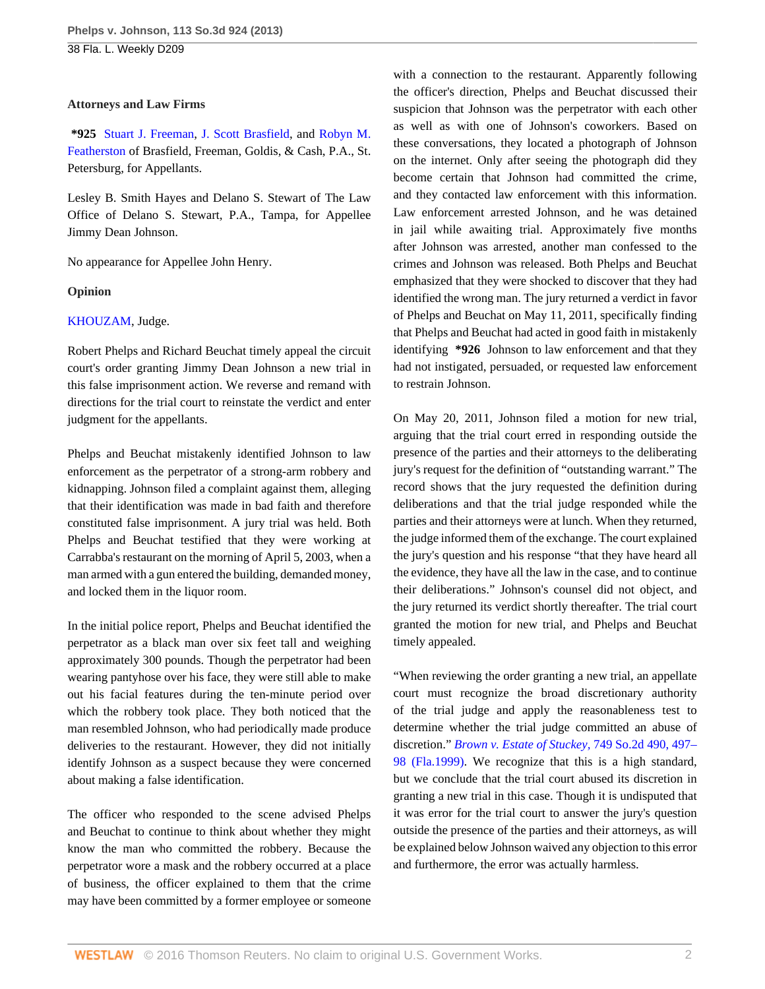## **Attorneys and Law Firms**

**\*925** [Stuart J. Freeman](http://www.westlaw.com/Link/Document/FullText?findType=h&pubNum=176284&cite=0122065601&originatingDoc=I164bdfa066d311e280719c3f0e80bdd0&refType=RQ&originationContext=document&vr=3.0&rs=cblt1.0&transitionType=DocumentItem&contextData=(sc.Default)), [J. Scott Brasfield,](http://www.westlaw.com/Link/Document/FullText?findType=h&pubNum=176284&cite=0168468201&originatingDoc=I164bdfa066d311e280719c3f0e80bdd0&refType=RQ&originationContext=document&vr=3.0&rs=cblt1.0&transitionType=DocumentItem&contextData=(sc.Default)) and [Robyn M.](http://www.westlaw.com/Link/Document/FullText?findType=h&pubNum=176284&cite=0380641501&originatingDoc=I164bdfa066d311e280719c3f0e80bdd0&refType=RQ&originationContext=document&vr=3.0&rs=cblt1.0&transitionType=DocumentItem&contextData=(sc.Default)) [Featherston](http://www.westlaw.com/Link/Document/FullText?findType=h&pubNum=176284&cite=0380641501&originatingDoc=I164bdfa066d311e280719c3f0e80bdd0&refType=RQ&originationContext=document&vr=3.0&rs=cblt1.0&transitionType=DocumentItem&contextData=(sc.Default)) of Brasfield, Freeman, Goldis, & Cash, P.A., St. Petersburg, for Appellants.

Lesley B. Smith Hayes and Delano S. Stewart of The Law Office of Delano S. Stewart, P.A., Tampa, for Appellee Jimmy Dean Johnson.

No appearance for Appellee John Henry.

## **Opinion**

## [KHOUZAM](http://www.westlaw.com/Link/Document/FullText?findType=h&pubNum=176284&cite=0142088901&originatingDoc=I164bdfa066d311e280719c3f0e80bdd0&refType=RQ&originationContext=document&vr=3.0&rs=cblt1.0&transitionType=DocumentItem&contextData=(sc.Default)), Judge.

Robert Phelps and Richard Beuchat timely appeal the circuit court's order granting Jimmy Dean Johnson a new trial in this false imprisonment action. We reverse and remand with directions for the trial court to reinstate the verdict and enter judgment for the appellants.

Phelps and Beuchat mistakenly identified Johnson to law enforcement as the perpetrator of a strong-arm robbery and kidnapping. Johnson filed a complaint against them, alleging that their identification was made in bad faith and therefore constituted false imprisonment. A jury trial was held. Both Phelps and Beuchat testified that they were working at Carrabba's restaurant on the morning of April 5, 2003, when a man armed with a gun entered the building, demanded money, and locked them in the liquor room.

In the initial police report, Phelps and Beuchat identified the perpetrator as a black man over six feet tall and weighing approximately 300 pounds. Though the perpetrator had been wearing pantyhose over his face, they were still able to make out his facial features during the ten-minute period over which the robbery took place. They both noticed that the man resembled Johnson, who had periodically made produce deliveries to the restaurant. However, they did not initially identify Johnson as a suspect because they were concerned about making a false identification.

The officer who responded to the scene advised Phelps and Beuchat to continue to think about whether they might know the man who committed the robbery. Because the perpetrator wore a mask and the robbery occurred at a place of business, the officer explained to them that the crime may have been committed by a former employee or someone with a connection to the restaurant. Apparently following the officer's direction, Phelps and Beuchat discussed their suspicion that Johnson was the perpetrator with each other as well as with one of Johnson's coworkers. Based on these conversations, they located a photograph of Johnson on the internet. Only after seeing the photograph did they become certain that Johnson had committed the crime, and they contacted law enforcement with this information. Law enforcement arrested Johnson, and he was detained in jail while awaiting trial. Approximately five months after Johnson was arrested, another man confessed to the crimes and Johnson was released. Both Phelps and Beuchat emphasized that they were shocked to discover that they had identified the wrong man. The jury returned a verdict in favor of Phelps and Beuchat on May 11, 2011, specifically finding that Phelps and Beuchat had acted in good faith in mistakenly identifying **\*926** Johnson to law enforcement and that they had not instigated, persuaded, or requested law enforcement to restrain Johnson.

On May 20, 2011, Johnson filed a motion for new trial, arguing that the trial court erred in responding outside the presence of the parties and their attorneys to the deliberating jury's request for the definition of "outstanding warrant." The record shows that the jury requested the definition during deliberations and that the trial judge responded while the parties and their attorneys were at lunch. When they returned, the judge informed them of the exchange. The court explained the jury's question and his response "that they have heard all the evidence, they have all the law in the case, and to continue their deliberations." Johnson's counsel did not object, and the jury returned its verdict shortly thereafter. The trial court granted the motion for new trial, and Phelps and Beuchat timely appealed.

"When reviewing the order granting a new trial, an appellate court must recognize the broad discretionary authority of the trial judge and apply the reasonableness test to determine whether the trial judge committed an abuse of discretion." *[Brown v. Estate of Stuckey,](http://www.westlaw.com/Link/Document/FullText?findType=Y&serNum=1999201293&pubNum=735&originatingDoc=I164bdfa066d311e280719c3f0e80bdd0&refType=RP&fi=co_pp_sp_735_497&originationContext=document&vr=3.0&rs=cblt1.0&transitionType=DocumentItem&contextData=(sc.Default)#co_pp_sp_735_497)* 749 So.2d 490, 497– [98 \(Fla.1999\).](http://www.westlaw.com/Link/Document/FullText?findType=Y&serNum=1999201293&pubNum=735&originatingDoc=I164bdfa066d311e280719c3f0e80bdd0&refType=RP&fi=co_pp_sp_735_497&originationContext=document&vr=3.0&rs=cblt1.0&transitionType=DocumentItem&contextData=(sc.Default)#co_pp_sp_735_497) We recognize that this is a high standard, but we conclude that the trial court abused its discretion in granting a new trial in this case. Though it is undisputed that it was error for the trial court to answer the jury's question outside the presence of the parties and their attorneys, as will be explained below Johnson waived any objection to this error and furthermore, the error was actually harmless.